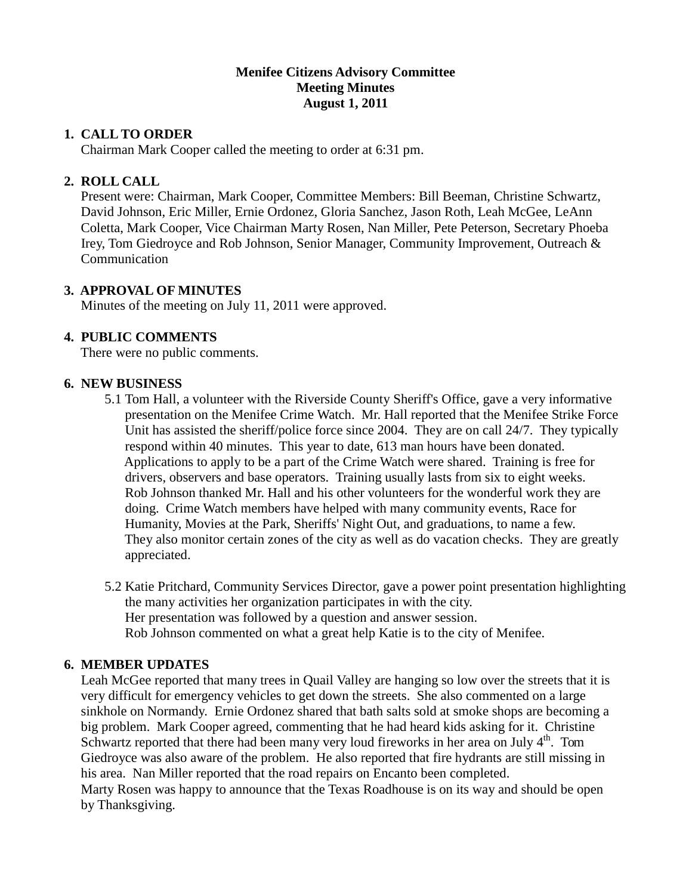#### **Menifee Citizens Advisory Committee Meeting Minutes August 1, 2011**

### **1. CALL TO ORDER**

Chairman Mark Cooper called the meeting to order at 6:31 pm.

### **2. ROLL CALL**

 Present were: Chairman, Mark Cooper, Committee Members: Bill Beeman, Christine Schwartz, David Johnson, Eric Miller, Ernie Ordonez, Gloria Sanchez, Jason Roth, Leah McGee, LeAnn Coletta, Mark Cooper, Vice Chairman Marty Rosen, Nan Miller, Pete Peterson, Secretary Phoeba Irey, Tom Giedroyce and Rob Johnson, Senior Manager, Community Improvement, Outreach & Communication

# **3. APPROVAL OF MINUTES**

Minutes of the meeting on July 11, 2011 were approved.

# **4. PUBLIC COMMENTS**

There were no public comments.

### **6. NEW BUSINESS**

- 5.1 Tom Hall, a volunteer with the Riverside County Sheriff's Office, gave a very informative presentation on the Menifee Crime Watch. Mr. Hall reported that the Menifee Strike Force Unit has assisted the sheriff/police force since 2004. They are on call 24/7. They typically respond within 40 minutes. This year to date, 613 man hours have been donated. Applications to apply to be a part of the Crime Watch were shared. Training is free for drivers, observers and base operators. Training usually lasts from six to eight weeks. Rob Johnson thanked Mr. Hall and his other volunteers for the wonderful work they are doing. Crime Watch members have helped with many community events, Race for Humanity, Movies at the Park, Sheriffs' Night Out, and graduations, to name a few. They also monitor certain zones of the city as well as do vacation checks. They are greatly appreciated.
- 5.2 Katie Pritchard, Community Services Director, gave a power point presentation highlighting the many activities her organization participates in with the city. Her presentation was followed by a question and answer session. Rob Johnson commented on what a great help Katie is to the city of Menifee.

### **6. MEMBER UPDATES**

 Leah McGee reported that many trees in Quail Valley are hanging so low over the streets that it is very difficult for emergency vehicles to get down the streets. She also commented on a large sinkhole on Normandy. Ernie Ordonez shared that bath salts sold at smoke shops are becoming a big problem. Mark Cooper agreed, commenting that he had heard kids asking for it. Christine Schwartz reported that there had been many very loud fireworks in her area on July  $4<sup>th</sup>$ . Tom Giedroyce was also aware of the problem. He also reported that fire hydrants are still missing in his area. Nan Miller reported that the road repairs on Encanto been completed. Marty Rosen was happy to announce that the Texas Roadhouse is on its way and should be open by Thanksgiving.